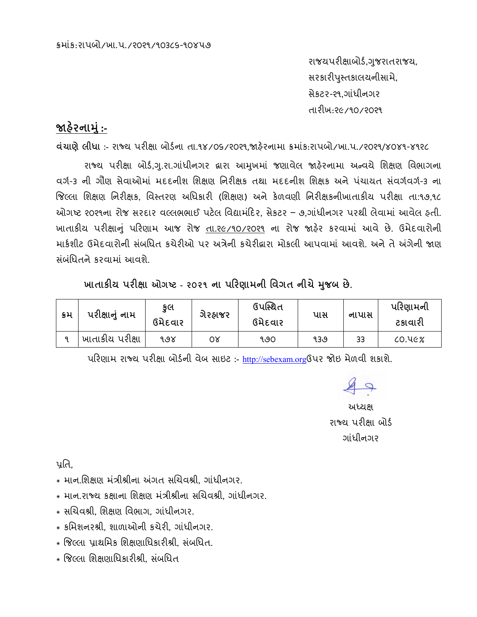રાજયપરીક્ષાબોર્ડ,ગુજરાતરાજય, સરકારીપુસ્તકાલચનીસામે, સેકટર-ર૧.ગાંધીનગર તારીખ:૨૯/૧૦/૨૦૨૧

## જાહેરનામું :-

dચાણે લીધા :- રાજ્ય પરીક્ષા બોર્ડના તા.૧૪/09/ર0ર૧,જાફેરનામા ક્રમાંક:રાપબો/ખા.પ./ર0ર૧/૪૦૪૧-૪૧૨૮

રાજ્ય પરીક્ષા બોર્ડ,ગ.રા.ગાંધીનગર દ્વારા આમુખમાં જણાવેલ જાહેરનામા અન્વયે શિક્ષણ વિભાગના વર્ગ-૩ ની ગૌણ સેવાઓમાં મદદનીશ શિક્ષણ નિરીક્ષક તથા મદદનીશ શિક્ષક અને પંચાયત સંવર્ગવર્ગ-૩ ના જિલ્લા શિક્ષણ નિરીક્ષક, વિસ્તરણ અધિકારી (શિક્ષણ) અને કેળવણી નિરીક્ષકનીખાતાકીય પરીક્ષા તા:૧૭,૧૮ ઓગષ્ટ ૨૦૨૧ના રોજ સરદાર વલ્લભભાઈ પટેલ વિદ્યામંદિર, સેકટર – ૭,ગાંધીનગર પરથી લેવામાં આવેલ ફતી. ખાતાકીય પરીક્ષાનું પરિણામ આજ રોજ તા. 26/90/2029 ના રોજ જારેર કરવામાં આવે છે. ઉમેદવારોની માર્કશીટ ઉમેદવારોની સંબધિત કચેરીઓ પર અત્રેની કચેરીદ્વારા મોકલી આપવામાં આવશે. અને તે અંગેની જાણ સંબંધિતને કરવામાં આવશે

ખાતાકીય પરીક્ષા ઓગષ્ટ - ૨૦૨૧ ના પરિણામની વિગત નીચે મુજબ છે.

| કમ | પરીક્ષાનું નામ  | કૂલ<br>ગેરહ્નાજર<br>ઉમેદવાર |    | ઉપસ્થિત<br>ઉમેદવાર | પાસ | નાપાસ | પરિણામની<br>ટકાવારી |  |
|----|-----------------|-----------------------------|----|--------------------|-----|-------|---------------------|--|
|    | ખાતાકીય પરીક્ષા | ৭৩૪                         | 0δ | १७०                | १३७ | 33    | $CO.$ $UCX$         |  |

પરિણામ રાજ્ય પરીક્ષા બોર્ડની વેબ સાઇટ:- http://sebexam.org6પર જોઇ મેળવી શકાશે.

 $\sqrt{2}$ 

અધ્યક્ષ રાજ્ય પરીક્ષા બોર્ડ ગાંધીનગર

นใล้

- \* માન.શિક્ષણ મંત્રીશ્રીના અંગત સચિવશ્રી. ગાંધીનગર.
- \* માન.રાજ્ય કક્ષાના શિક્ષણ મંત્રીશ્રીના સચિવશ્રી. ગાંધીનગર.
- \* સચિવશ્રી. શિક્ષણ વિભાગ. ગાંધીનગર.
- \* કમિશનરશ્રી. શાળાઓની કચેરી. ગાંધીનગર.
- \* જિલ્લા પ્રાથમિક શિક્ષણાધિકારીશ્રી. સંબધિત.
- \* જિલ્લા શિક્ષણાધિકારીશ્રી. સંબધિત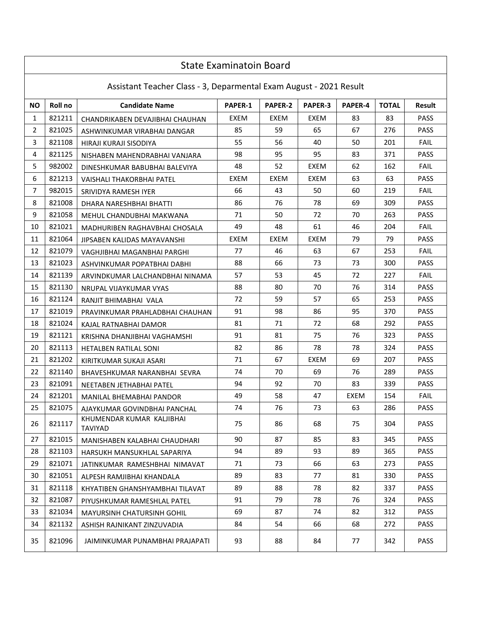|                | <b>State Examinatoin Board</b>                                     |                                             |         |         |         |         |              |             |  |  |
|----------------|--------------------------------------------------------------------|---------------------------------------------|---------|---------|---------|---------|--------------|-------------|--|--|
|                | Assistant Teacher Class - 3, Deparmental Exam August - 2021 Result |                                             |         |         |         |         |              |             |  |  |
| <b>NO</b>      | Roll no                                                            | <b>Candidate Name</b>                       | PAPER-1 | PAPER-2 | PAPER-3 | PAPER-4 | <b>TOTAL</b> | Result      |  |  |
| 1              | 821211                                                             | CHANDRIKABEN DEVAJIBHAI CHAUHAN             | EXEM    | EXEM    | EXEM    | 83      | 83           | <b>PASS</b> |  |  |
| $\overline{2}$ | 821025                                                             | ASHWINKUMAR VIRABHAI DANGAR                 | 85      | 59      | 65      | 67      | 276          | PASS        |  |  |
| 3              | 821108                                                             | HIRAJI KURAJI SISODIYA                      | 55      | 56      | 40      | 50      | 201          | <b>FAIL</b> |  |  |
| 4              | 821125                                                             | NISHABEN MAHENDRABHAI VANJARA               | 98      | 95      | 95      | 83      | 371          | <b>PASS</b> |  |  |
| 5              | 982002                                                             | DINESHKUMAR BABUBHAI BALEVIYA               | 48      | 52      | EXEM    | 62      | 162          | <b>FAIL</b> |  |  |
| 6              | 821213                                                             | VAISHALI THAKORBHAI PATEL                   | EXEM    | EXEM    | EXEM    | 63      | 63           | <b>PASS</b> |  |  |
| $\overline{7}$ | 982015                                                             | SRIVIDYA RAMESH IYER                        | 66      | 43      | 50      | 60      | 219          | <b>FAIL</b> |  |  |
| 8              | 821008                                                             | DHARA NARESHBHAI BHATTI                     | 86      | 76      | 78      | 69      | 309          | PASS        |  |  |
| 9              | 821058                                                             | MEHUL CHANDUBHAI MAKWANA                    | 71      | 50      | 72      | 70      | 263          | <b>PASS</b> |  |  |
| 10             | 821021                                                             | MADHURIBEN RAGHAVBHAI CHOSALA               | 49      | 48      | 61      | 46      | 204          | <b>FAIL</b> |  |  |
| 11             | 821064                                                             | JIPSABEN KALIDAS MAYAVANSHI                 | EXEM    | EXEM    | EXEM    | 79      | 79           | <b>PASS</b> |  |  |
| 12             | 821079                                                             | VAGHJIBHAI MAGANBHAI PARGHI                 | 77      | 46      | 63      | 67      | 253          | <b>FAIL</b> |  |  |
| 13             | 821023                                                             | ASHVINKUMAR POPATBHAI DABHI                 | 88      | 66      | 73      | 73      | 300          | <b>PASS</b> |  |  |
| 14             | 821139                                                             | ARVINDKUMAR LALCHANDBHAI NINAMA             | 57      | 53      | 45      | 72      | 227          | <b>FAIL</b> |  |  |
| 15             | 821130                                                             | NRUPAL VIJAYKUMAR VYAS                      | 88      | 80      | 70      | 76      | 314          | <b>PASS</b> |  |  |
| 16             | 821124                                                             | RANJIT BHIMABHAI VALA                       | 72      | 59      | 57      | 65      | 253          | <b>PASS</b> |  |  |
| 17             | 821019                                                             | PRAVINKUMAR PRAHLADBHAI CHAUHAN             | 91      | 98      | 86      | 95      | 370          | <b>PASS</b> |  |  |
| 18             | 821024                                                             | KAJAL RATNABHAI DAMOR                       | 81      | 71      | 72      | 68      | 292          | <b>PASS</b> |  |  |
| 19             | 821121                                                             | KRISHNA DHANJIBHAI VAGHAMSHI                | 91      | 81      | 75      | 76      | 323          | <b>PASS</b> |  |  |
| 20             | 821113                                                             | HETALBEN RATILAL SONI                       | 82      | 86      | 78      | 78      | 324          | <b>PASS</b> |  |  |
| 21             | 821202                                                             | KIRITKUMAR SUKAJI ASARI                     | 71      | 67      | EXEM    | 69      | 207          | <b>PASS</b> |  |  |
| 22             | 821140                                                             | BHAVESHKUMAR NARANBHAI SEVRA                | 74      | 70      | 69      | 76      | 289          | <b>PASS</b> |  |  |
| 23             | 821091                                                             | NEETABEN JETHABHAI PATEL                    | 94      | 92      | 70      | 83      | 339          | <b>PASS</b> |  |  |
| 24             | 821201                                                             | MANILAL BHEMABHAI PANDOR                    | 49      | 58      | 47      | EXEM    | 154          | <b>FAIL</b> |  |  |
| 25             | 821075                                                             | AJAYKUMAR GOVINDBHAI PANCHAL                | 74      | 76      | 73      | 63      | 286          | <b>PASS</b> |  |  |
| 26             | 821117                                                             | KHUMENDAR KUMAR KALJIBHAI<br><b>TAVIYAD</b> | 75      | 86      | 68      | 75      | 304          | <b>PASS</b> |  |  |
| 27             | 821015                                                             | MANISHABEN KALABHAI CHAUDHARI               | 90      | 87      | 85      | 83      | 345          | <b>PASS</b> |  |  |
| 28             | 821103                                                             | HARSUKH MANSUKHLAL SAPARIYA                 | 94      | 89      | 93      | 89      | 365          | <b>PASS</b> |  |  |
| 29             | 821071                                                             | JATINKUMAR RAMESHBHAI NIMAVAT               | 71      | 73      | 66      | 63      | 273          | PASS        |  |  |
| 30             | 821051                                                             | ALPESH RAMJIBHAI KHANDALA                   | 89      | 83      | 77      | 81      | 330          | <b>PASS</b> |  |  |
| 31             | 821118                                                             | KHYATIBEN GHANSHYAMBHAI TILAVAT             | 89      | 88      | 78      | 82      | 337          | <b>PASS</b> |  |  |
| 32             | 821087                                                             | PIYUSHKUMAR RAMESHLAL PATEL                 | 91      | 79      | 78      | 76      | 324          | <b>PASS</b> |  |  |
| 33             | 821034                                                             | MAYURSINH CHATURSINH GOHIL                  | 69      | 87      | 74      | 82      | 312          | <b>PASS</b> |  |  |
| 34             | 821132                                                             | ASHISH RAJNIKANT ZINZUVADIA                 | 84      | 54      | 66      | 68      | 272          | PASS        |  |  |
| 35             | 821096                                                             | JAIMINKUMAR PUNAMBHAI PRAJAPATI             | 93      | 88      | 84      | 77      | 342          | <b>PASS</b> |  |  |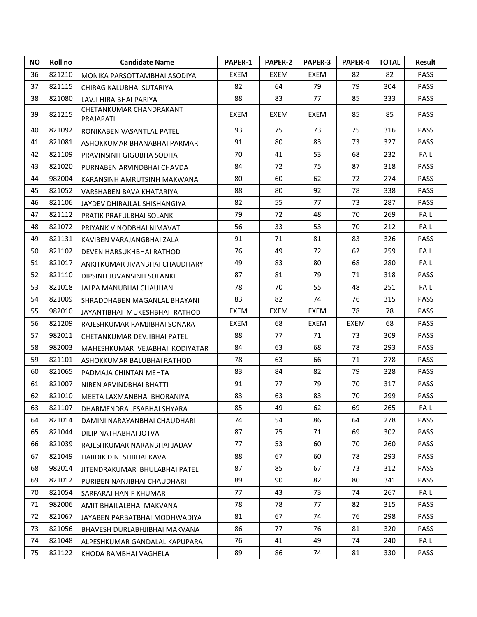| <b>NO</b> | <b>Roll</b> no | <b>Candidate Name</b>                | <b>PAPER-1</b> | <b>PAPER-2</b> | <b>PAPER-3</b> | <b>PAPER-4</b> | <b>TOTAL</b> | <b>Result</b> |
|-----------|----------------|--------------------------------------|----------------|----------------|----------------|----------------|--------------|---------------|
| 36        | 821210         | MONIKA PARSOTTAMBHAI ASODIYA         | EXEM           | EXEM           | EXEM           | 82             | 82           | <b>PASS</b>   |
| 37        | 821115         | CHIRAG KALUBHAI SUTARIYA             | 82             | 64             | 79             | 79             | 304          | <b>PASS</b>   |
| 38        | 821080         | LAVJI HIRA BHAI PARIYA               | 88             | 83             | 77             | 85             | 333          | <b>PASS</b>   |
| 39        | 821215         | CHETANKUMAR CHANDRAKANT<br>PRAJAPATI | EXEM           | EXEM           | EXEM           | 85             | 85           | <b>PASS</b>   |
| 40        | 821092         | RONIKABEN VASANTLAL PATEL            | 93             | 75             | 73             | 75             | 316          | <b>PASS</b>   |
| 41        | 821081         | ASHOKKUMAR BHANABHAI PARMAR          | 91             | 80             | 83             | 73             | 327          | <b>PASS</b>   |
| 42        | 821109         | PRAVINSINH GIGUBHA SODHA             | 70             | 41             | 53             | 68             | 232          | <b>FAIL</b>   |
| 43        | 821020         | PURNABEN ARVINDBHAI CHAVDA           | 84             | 72             | 75             | 87             | 318          | <b>PASS</b>   |
| 44        | 982004         | KARANSINH AMRUTSINH MAKWANA          | 80             | 60             | 62             | 72             | 274          | <b>PASS</b>   |
| 45        | 821052         | VARSHABEN BAVA KHATARIYA             | 88             | 80             | 92             | 78             | 338          | <b>PASS</b>   |
| 46        | 821106         | JAYDEV DHIRAJLAL SHISHANGIYA         | 82             | 55             | 77             | 73             | 287          | <b>PASS</b>   |
| 47        | 821112         | PRATIK PRAFULBHAI SOLANKI            | 79             | 72             | 48             | 70             | 269          | <b>FAIL</b>   |
| 48        | 821072         | PRIYANK VINODBHAI NIMAVAT            | 56             | 33             | 53             | 70             | 212          | <b>FAIL</b>   |
| 49        | 821131         | KAVIBEN VARAJANGBHAI ZALA            | 91             | 71             | 81             | 83             | 326          | <b>PASS</b>   |
| 50        | 821102         | DEVEN HARSUKHBHAI RATHOD             | 76             | 49             | 72             | 62             | 259          | <b>FAIL</b>   |
| 51        | 821017         | ANKITKUMAR JIVANBHAI CHAUDHARY       | 49             | 83             | 80             | 68             | 280          | <b>FAIL</b>   |
| 52        | 821110         | DIPSINH JUVANSINH SOLANKI            | 87             | 81             | 79             | 71             | 318          | <b>PASS</b>   |
| 53        | 821018         | JALPA MANUBHAI CHAUHAN               | 78             | 70             | 55             | 48             | 251          | FAIL          |
| 54        | 821009         | SHRADDHABEN MAGANLAL BHAYANI         | 83             | 82             | 74             | 76             | 315          | <b>PASS</b>   |
| 55        | 982010         | JAYANTIBHAI MUKESHBHAI RATHOD        | EXEM           | EXEM           | EXEM           | 78             | 78           | <b>PASS</b>   |
| 56        | 821209         | RAJESHKUMAR RAMJIBHAI SONARA         | EXEM           | 68             | EXEM           | EXEM           | 68           | <b>PASS</b>   |
| 57        | 982011         | CHETANKUMAR DEVJIBHAI PATEL          | 88             | 77             | 71             | 73             | 309          | <b>PASS</b>   |
| 58        | 982003         | MAHESHKUMAR VEJABHAI KODIYATAR       | 84             | 63             | 68             | 78             | 293          | <b>PASS</b>   |
| 59        | 821101         | ASHOKKUMAR BALUBHAI RATHOD           | 78             | 63             | 66             | 71             | 278          | <b>PASS</b>   |
| 60        | 821065         | PADMAJA CHINTAN MEHTA                | 83             | 84             | 82             | 79             | 328          | <b>PASS</b>   |
| 61        | 821007         | NIREN ARVINDBHAI BHATTI              | 91             | 77             | 79             | 70             | 317          | PASS          |
| 62        | 821010         | MEETA LAXMANBHAI BHORANIYA           | 83             | 63             | 83             | 70             | 299          | PASS          |
| 63        | 821107         | DHARMENDRA JESABHAI SHYARA           | 85             | 49             | 62             | 69             | 265          | <b>FAIL</b>   |
| 64        | 821014         | DAMINI NARAYANBHAI CHAUDHARI         | 74             | 54             | 86             | 64             | 278          | <b>PASS</b>   |
| 65        | 821044         | DILIP NATHABHAI JOTVA                | 87             | 75             | 71             | 69             | 302          | <b>PASS</b>   |
| 66        | 821039         | RAJESHKUMAR NARANBHAI JADAV          | 77             | 53             | 60             | 70             | 260          | <b>PASS</b>   |
| 67        | 821049         | HARDIK DINESHBHAI KAVA               | 88             | 67             | 60             | 78             | 293          | <b>PASS</b>   |
| 68        | 982014         | JITENDRAKUMAR BHULABHAI PATEL        | 87             | 85             | 67             | 73             | 312          | <b>PASS</b>   |
| 69        | 821012         | PURIBEN NANJIBHAI CHAUDHARI          | 89             | 90             | 82             | 80             | 341          | <b>PASS</b>   |
| 70        | 821054         | SARFARAJ HANIF KHUMAR                | 77             | 43             | 73             | 74             | 267          | FAIL          |
| 71        | 982006         | AMIT BHAILALBHAI MAKVANA             | 78             | 78             | 77             | 82             | 315          | <b>PASS</b>   |
| 72        | 821067         | JAYABEN PARBATBHAI MODHWADIYA        | 81             | 67             | 74             | 76             | 298          | <b>PASS</b>   |
| 73        | 821056         | BHAVESH DURLABHJIBHAI MAKVANA        | 86             | 77             | 76             | 81             | 320          | <b>PASS</b>   |
| 74        | 821048         | ALPESHKUMAR GANDALAL KAPUPARA        | 76             | 41             | 49             | 74             | 240          | <b>FAIL</b>   |
| 75        | 821122         | KHODA RAMBHAI VAGHELA                | 89             | 86             | 74             | 81             | 330          | PASS          |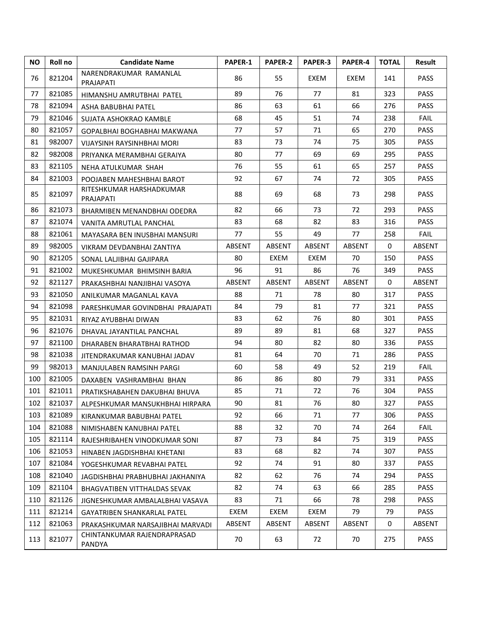| <b>NO</b> | Roll no | <b>Candidate Name</b>                 | <b>PAPER-1</b> | <b>PAPER-2</b> | PAPER-3       | PAPER-4       | <b>TOTAL</b> | Result      |
|-----------|---------|---------------------------------------|----------------|----------------|---------------|---------------|--------------|-------------|
| 76        | 821204  | NARENDRAKUMAR RAMANLAL<br>PRAJAPATI   | 86             | 55             | EXEM          | EXEM          | 141          | <b>PASS</b> |
| 77        | 821085  | HIMANSHU AMRUTBHAI PATEL              | 89             | 76             | 77            | 81            | 323          | PASS        |
| 78        | 821094  | ASHA BABUBHAI PATEL                   | 86             | 63             | 61            | 66            | 276          | <b>PASS</b> |
| 79        | 821046  | SUJATA ASHOKRAO KAMBLE                | 68             | 45             | 51            | 74            | 238          | <b>FAIL</b> |
| 80        | 821057  | GOPALBHAI BOGHABHAI MAKWANA           | 77             | 57             | 71            | 65            | 270          | <b>PASS</b> |
| 81        | 982007  | VIJAYSINH RAYSINHBHAI MORI            | 83             | 73             | 74            | 75            | 305          | <b>PASS</b> |
| 82        | 982008  | PRIYANKA MERAMBHAI GERAIYA            | 80             | 77             | 69            | 69            | 295          | <b>PASS</b> |
| 83        | 821105  | NEHA ATULKUMAR SHAH                   | 76             | 55             | 61            | 65            | 257          | <b>PASS</b> |
| 84        | 821003  | POOJABEN MAHESHBHAI BAROT             | 92             | 67             | 74            | 72            | 305          | <b>PASS</b> |
| 85        | 821097  | RITESHKUMAR HARSHADKUMAR<br>PRAJAPATI | 88             | 69             | 68            | 73            | 298          | <b>PASS</b> |
| 86        | 821073  | BHARMIBEN MENANDBHAI ODEDRA           | 82             | 66             | 73            | 72            | 293          | <b>PASS</b> |
| 87        | 821074  | VANITA AMRUTLAL PANCHAL               | 83             | 68             | 82            | 83            | 316          | <b>PASS</b> |
| 88        | 821061  | MAYASARA BEN INUSBHAI MANSURI         | 77             | 55             | 49            | 77            | 258          | <b>FAIL</b> |
| 89        | 982005  | VIKRAM DEVDANBHAI ZANTIYA             | ABSENT         | ABSENT         | <b>ABSENT</b> | <b>ABSENT</b> | 0            | ABSENT      |
| 90        | 821205  | SONAL LALJIBHAI GAJIPARA              | 80             | EXEM           | EXEM          | 70            | 150          | <b>PASS</b> |
| 91        | 821002  | MUKESHKUMAR BHIMSINH BARIA            | 96             | 91             | 86            | 76            | 349          | <b>PASS</b> |
| 92        | 821127  | PRAKASHBHAI NANJIBHAI VASOYA          | ABSENT         | ABSENT         | ABSENT        | ABSENT        | $\mathbf{0}$ | ABSENT      |
| 93        | 821050  | ANILKUMAR MAGANLAL KAVA               | 88             | 71             | 78            | 80            | 317          | <b>PASS</b> |
| 94        | 821098  | PARESHKUMAR GOVINDBHAI PRAJAPATI      | 84             | 79             | 81            | 77            | 321          | <b>PASS</b> |
| 95        | 821031  | RIYAZ AYUBBHAI DIWAN                  | 83             | 62             | 76            | 80            | 301          | <b>PASS</b> |
| 96        | 821076  | DHAVAL JAYANTILAL PANCHAL             | 89             | 89             | 81            | 68            | 327          | <b>PASS</b> |
| 97        | 821100  | DHARABEN BHARATBHAI RATHOD            | 94             | 80             | 82            | 80            | 336          | <b>PASS</b> |
| 98        | 821038  | JITENDRAKUMAR KANUBHAI JADAV          | 81             | 64             | 70            | 71            | 286          | <b>PASS</b> |
| 99        | 982013  | MANJULABEN RAMSINH PARGI              | 60             | 58             | 49            | 52            | 219          | <b>FAIL</b> |
| 100       | 821005  | DAXABEN VASHRAMBHAI BHAN              | 86             | 86             | 80            | 79            | 331          | <b>PASS</b> |
| 101       | 821011  | PRATIKSHABAHEN DAKUBHAI BHUVA         | 85             | 71             | 72            | 76            | 304          | <b>PASS</b> |
| 102       | 821037  | ALPESHKUMAR MANSUKHBHAI HIRPARA       | 90             | 81             | 76            | 80            | 327          | PASS        |
| 103       | 821089  | KIRANKUMAR BABUBHAI PATEL             | 92             | 66             | 71            | 77            | 306          | <b>PASS</b> |
| 104       | 821088  | NIMISHABEN KANUBHAI PATEL             | 88             | 32             | 70            | 74            | 264          | <b>FAIL</b> |
| 105       | 821114  | RAJESHRIBAHEN VINODKUMAR SONI         | 87             | 73             | 84            | 75            | 319          | <b>PASS</b> |
| 106       | 821053  | HINABEN JAGDISHBHAI KHETANI           | 83             | 68             | 82            | 74            | 307          | <b>PASS</b> |
| 107       | 821084  | YOGESHKUMAR REVABHAI PATEL            | 92             | 74             | 91            | 80            | 337          | PASS        |
| 108       | 821040  | JAGDISHBHAI PRABHUBHAI JAKHANIYA      | 82             | 62             | 76            | 74            | 294          | <b>PASS</b> |
| 109       | 821104  | BHAGVATIBEN VITTHALDAS SEVAK          | 82             | 74             | 63            | 66            | 285          | <b>PASS</b> |
| 110       | 821126  | JIGNESHKUMAR AMBALALBHAI VASAVA       | 83             | 71             | 66            | 78            | 298          | <b>PASS</b> |
| 111       | 821214  | <b>GAYATRIBEN SHANKARLAL PATEL</b>    | EXEM           | EXEM           | EXEM          | 79            | 79           | <b>PASS</b> |
| 112       | 821063  | PRAKASHKUMAR NARSAJIBHAI MARVADI      | <b>ABSENT</b>  | ABSENT         | ABSENT        | ABSENT        | 0            | ABSENT      |
| 113       | 821077  | CHINTANKUMAR RAJENDRAPRASAD<br>PANDYA | 70             | 63             | 72            | 70            | 275          | <b>PASS</b> |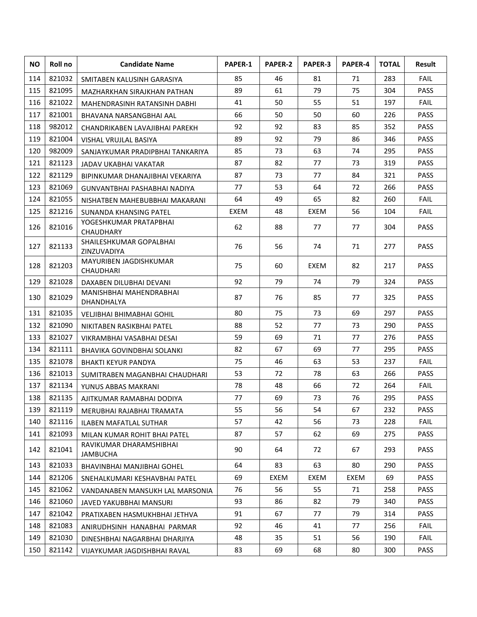| NO. | Roll no | <b>Candidate Name</b>                      | <b>PAPER-1</b> | PAPER-2 | PAPER-3 | PAPER-4 | <b>TOTAL</b> | <b>Result</b> |
|-----|---------|--------------------------------------------|----------------|---------|---------|---------|--------------|---------------|
| 114 | 821032  | SMITABEN KALUSINH GARASIYA                 | 85             | 46      | 81      | 71      | 283          | <b>FAIL</b>   |
| 115 | 821095  | MAZHARKHAN SIRAJKHAN PATHAN                | 89             | 61      | 79      | 75      | 304          | PASS          |
| 116 | 821022  | MAHENDRASINH RATANSINH DABHI               | 41             | 50      | 55      | 51      | 197          | <b>FAIL</b>   |
| 117 | 821001  | BHAVANA NARSANGBHAI AAL                    | 66             | 50      | 50      | 60      | 226          | PASS          |
| 118 | 982012  | CHANDRIKABEN LAVAJIBHAI PAREKH             | 92             | 92      | 83      | 85      | 352          | <b>PASS</b>   |
| 119 | 821004  | VISHAL VRUJLAL BASIYA                      | 89             | 92      | 79      | 86      | 346          | <b>PASS</b>   |
| 120 | 982009  | SANJAYKUMAR PRADIPBHAI TANKARIYA           | 85             | 73      | 63      | 74      | 295          | <b>PASS</b>   |
| 121 | 821123  | JADAV UKABHAI VAKATAR                      | 87             | 82      | 77      | 73      | 319          | <b>PASS</b>   |
| 122 | 821129  | BIPINKUMAR DHANAJIBHAI VEKARIYA            | 87             | 73      | 77      | 84      | 321          | <b>PASS</b>   |
| 123 | 821069  | GUNVANTBHAI PASHABHAI NADIYA               | 77             | 53      | 64      | 72      | 266          | <b>PASS</b>   |
| 124 | 821055  | NISHATBEN MAHEBUBBHAI MAKARANI             | 64             | 49      | 65      | 82      | 260          | <b>FAIL</b>   |
| 125 | 821216  | SUNANDA KHANSING PATEL                     | EXEM           | 48      | EXEM    | 56      | 104          | <b>FAIL</b>   |
| 126 | 821016  | YOGESHKUMAR PRATAPBHAI<br><b>CHAUDHARY</b> | 62             | 88      | 77      | 77      | 304          | <b>PASS</b>   |
| 127 | 821133  | SHAILESHKUMAR GOPALBHAI<br>ZINZUVADIYA     | 76             | 56      | 74      | 71      | 277          | <b>PASS</b>   |
| 128 | 821203  | MAYURIBEN JAGDISHKUMAR<br>CHAUDHARI        | 75             | 60      | EXEM    | 82      | 217          | <b>PASS</b>   |
| 129 | 821028  | DAXABEN DILUBHAI DEVANI                    | 92             | 79      | 74      | 79      | 324          | <b>PASS</b>   |
| 130 | 821029  | MANISHBHAI MAHENDRABHAI<br>DHANDHALYA      | 87             | 76      | 85      | 77      | 325          | <b>PASS</b>   |
| 131 | 821035  | VELJIBHAI BHIMABHAI GOHIL                  | 80             | 75      | 73      | 69      | 297          | <b>PASS</b>   |
| 132 | 821090  | NIKITABEN RASIKBHAI PATEL                  | 88             | 52      | 77      | 73      | 290          | <b>PASS</b>   |
| 133 | 821027  | VIKRAMBHAI VASABHAI DESAI                  | 59             | 69      | 71      | 77      | 276          | <b>PASS</b>   |
| 134 | 821111  | BHAVIKA GOVINDBHAI SOLANKI                 | 82             | 67      | 69      | 77      | 295          | <b>PASS</b>   |
| 135 | 821078  | <b>BHAKTI KEYUR PANDYA</b>                 | 75             | 46      | 63      | 53      | 237          | <b>FAIL</b>   |
| 136 | 821013  | SUMITRABEN MAGANBHAI CHAUDHARI             | 53             | 72      | 78      | 63      | 266          | <b>PASS</b>   |
| 137 | 821134  | YUNUS ABBAS MAKRANI                        | 78             | 48      | 66      | 72      | 264          | <b>FAIL</b>   |
| 138 | 821135  | AJITKUMAR RAMABHAI DODIYA                  | 77             | 69      | 73      | 76      | 295          | <b>PASS</b>   |
| 139 | 821119  | MERUBHAI RAJABHAI TRAMATA                  | 55             | 56      | 54      | 67      | 232          | <b>PASS</b>   |
| 140 | 821116  | <b>ILABEN MAFATLAL SUTHAR</b>              | 57             | 42      | 56      | 73      | 228          | <b>FAIL</b>   |
| 141 | 821093  | MILAN KUMAR ROHIT BHAI PATEL               | 87             | 57      | 62      | 69      | 275          | <b>PASS</b>   |
| 142 | 821041  | RAVIKUMAR DHARAMSHIBHAI<br>JAMBUCHA        | 90             | 64      | 72      | 67      | 293          | <b>PASS</b>   |
| 143 | 821033  | BHAVINBHAI MANJIBHAI GOHEL                 | 64             | 83      | 63      | 80      | 290          | <b>PASS</b>   |
| 144 | 821206  | SNEHALKUMARI KESHAVBHAI PATEL              | 69             | EXEM    | EXEM    | EXEM    | 69           | PASS          |
| 145 | 821062  | VANDANABEN MANSUKH LAL MARSONIA            | 76             | 56      | 55      | 71      | 258          | <b>PASS</b>   |
| 146 | 821060  | JAVED YAKUBBHAI MANSURI                    | 93             | 86      | 82      | 79      | 340          | <b>PASS</b>   |
| 147 | 821042  | PRATIXABEN HASMUKHBHAI JETHVA              | 91             | 67      | 77      | 79      | 314          | <b>PASS</b>   |
| 148 | 821083  | ANIRUDHSINH HANABHAI PARMAR                | 92             | 46      | 41      | 77      | 256          | <b>FAIL</b>   |
| 149 | 821030  | DINESHBHAI NAGARBHAI DHARJIYA              | 48             | 35      | 51      | 56      | 190          | FAIL          |
| 150 | 821142  | VIJAYKUMAR JAGDISHBHAI RAVAL               | 83             | 69      | 68      | 80      | 300          | PASS          |